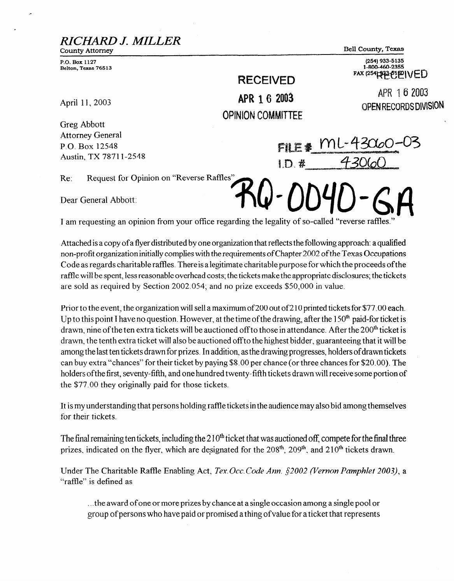*RICW J. MILLER* 

County Attorney **P.O. Box 1127** 

**Belton, Texas 76513** 

Bell County, Texas

<u>ml-43060-</u>

(254) 933-5135 1-800-460-2355  $FAX (254)$   $943 - 61$   $NED$ 

> APR 16 2003 OPEN RECORDS DIVISION

**RECEIVED**  APR 1 6 2003 **OPINION** COMMITTEE

**FILE #** 

 $1. D.$ #

April 11, 2003

Greg Abbott Attorney General P.O. Box 12548 Austin, TX 78711-2548

Re: Request for Opinion on "Reverse Raffles"

Dear General Abbott:

I am requesting an opinion from your office regarding the legality of so-called "reverse raffles."

Attached is a copy of a flyer distributed by one organization that reflects the following approach: a qualified non-profit organization initially complies with the requirements of Chapter 2002 of the Texas Occupations Code as regards charitable raffles. There is alegitimate charitable purpose for which the proceeds ofthe raffle will be spent, less reasonable overhead costs; the tickets make the appropriate disclosures; the tickets are sold as required by Section 2002.054; and no prize exceeds \$50,000 in value.

Prior to the event, the organization will sell a maximum of 200 out of 210 printed tickets for \$77.00 each. Up to this point I have no question. However, at the time of the drawing, after the  $150<sup>th</sup>$  paid-for ticket is drawn, nine of the ten extra tickets will be auctioned off to those in attendance. After the 200<sup>th</sup> ticket is drawn, the tenth extra ticket will also be auctioned offto the highest bidder, guaranteeing that it will be among the last ten tickets drawn for prizes. In addition, as the drawing progresses, holders of drawn tickets can buy extra "chances" for their ticket by paying \$8.00 per chance (or three chances for \$20.00). The holders ofthe first, seventy-fifth, and one hundred twenty-fifth tickets drawn will receive some portion of the \$77.00 they originally paid for those tickets.

It is my understanding that persons holding raffle tickets in the audience may also bid among themselves for their tickets.

The final remaining ten tickets, including the  $210<sup>th</sup>$  ticket that was auctioned off, compete for the final three prizes, indicated on the flyer, which are designated for the  $208<sup>th</sup>$ ,  $209<sup>th</sup>$ , and  $210<sup>th</sup>$  tickets drawn.

Under The Charitable Raffle Enabling Act, Tex. Occ. Code Ann. \$2002 (Vernon Pamphlet 2003), a "raffle" is defined as

. . . the award of one or more prizes by chance at a single occasion among a single pool or group ofpersons who have paid or promised a thing ofvalue for a ticket that represents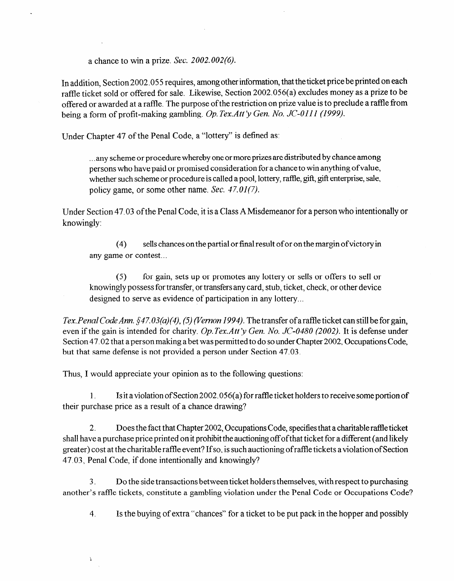a chance to win a prize. Sec. 2002.002(6).

In addition, Section 2002.055 requires, among other information, that the ticket price be printed on each raffle ticket sold or offered for sale. Likewise, Section 2002.056(a) excludes money as a prize to be offered or awarded at a raffle. The purpose of the restriction on prize value is to preclude a raffle from being a form of profit-making gambling. *Op. Tex.Att 'y Gen. No. JC-OIII (1999).* 

Under Chapter 47 of the Penal Code, a "lottery" is defined as:

. . . any scheme or procedure whereby one or more prizes are distributed by chance among persons who have paid or promised consideration for a chance to win anything ofvalue, whether such scheme or procedure is called a pool, lottery, raffle, gift, gift enterprise, sale, policy game, or some other name. Sec.  $47.01(7)$ .

Under Section 47.03 of the Penal Code, it is a Class A Misdemeanor for a person who intentionally or knowingly:

*(4)* sells chances on the partial or final result of or on the margin ofvictory in any game or contest...

**(5)** for gain, sets up or promotes any lottery or sells or offers to sell or knowingly possess for transfer, or transfers any card, stub, ticket, check, or other device designed to serve as evidence of participation in any lottery...

*Tex. Penal Code Ann.* \$47.03(a)(4), (5) (Vernon 1994). The transfer of a raffle ticket can still be for gain, even if the gain is intended for charity. *Op. Tex.Att'y Gen. No. JC-0480 (2002)*. It is defense under Section 47.02 that a person making a bet was permitted to do so under Chapter 2002, Occupations Code, but that same defense is not provided a person under Section 47.03.

Thus, I would appreciate your opinion as to the following questions:

 $\mathbf{\hat{L}}$ 

1. Is it a violation of Section 2002.056(a) for raffle ticket holders to receive some portion of their purchase price as a result of a chance drawing?

*2.* Does the fact that Chapter 2002, Occupations Code, specifies that a charitable raflle ticket shall have a purchase price printed on it prohibit the auctioning off ofthat ticket for a different (and likely greater) cost at the charitable raffle event? If so, is such auctioning of raffle tickets a violation of Section 47.03, Penal Code, if done intentionally and knowingly?

*3.* Do the side transactions between ticket holders themselves, with respect to purchasing another's raffle fickets, constitute a gambling violation under the Penal Code or Occupations Code?

*4.* Is the buying of extra "chances" for a ticket to be put pack in the hopper and possibly